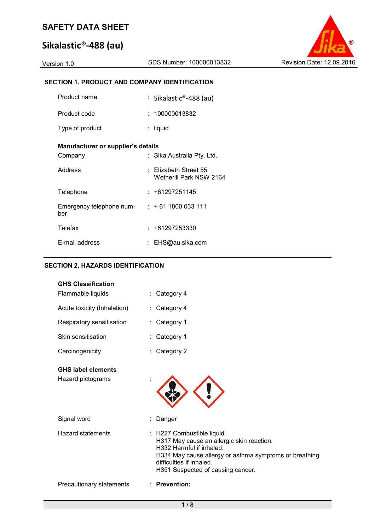# **Sikalastic®-488 (au)**

Version 1.0 SDS Number: 100000013832 Revision Date: 12.09.2016

## **SECTION 1. PRODUCT AND COMPANY IDENTIFICATION**

| Product name                       | : Sikalastic®-488 (au)                           |
|------------------------------------|--------------------------------------------------|
| Product code                       | : 100000013832                                   |
| Type of product                    | liquid                                           |
| Manufacturer or supplier's details |                                                  |
| Company                            | Sika Australia Pty. Ltd.                         |
| Address                            | : Elizabeth Street 55<br>Wetherill Park NSW 2164 |
| Telephone                          | : +61297251145                                   |
| Emergency telephone num-<br>ber    | $: +611800033111$                                |
| <b>Telefax</b>                     | : +61297253330                                   |
| E-mail address                     | EHS@au.sika.com                                  |

## **SECTION 2. HAZARDS IDENTIFICATION**

| <b>GHS Classification</b><br>Flammable liquids | : Category 4                                                                                                                                                                                                                   |
|------------------------------------------------|--------------------------------------------------------------------------------------------------------------------------------------------------------------------------------------------------------------------------------|
| Acute toxicity (Inhalation)                    | : Category 4                                                                                                                                                                                                                   |
| Respiratory sensitisation                      | Category 1                                                                                                                                                                                                                     |
| Skin sensitisation                             | Category 1                                                                                                                                                                                                                     |
| Carcinogenicity                                | Category 2                                                                                                                                                                                                                     |
| <b>GHS label elements</b><br>Hazard pictograms |                                                                                                                                                                                                                                |
| Signal word                                    | Danger                                                                                                                                                                                                                         |
| Hazard statements                              | : H227 Combustible liquid.<br>H317 May cause an allergic skin reaction.<br>H332 Harmful if inhaled.<br>H334 May cause allergy or asthma symptoms or breathing<br>difficulties if inhaled.<br>H351 Suspected of causing cancer. |
| Precautionary statements                       | : Prevention:                                                                                                                                                                                                                  |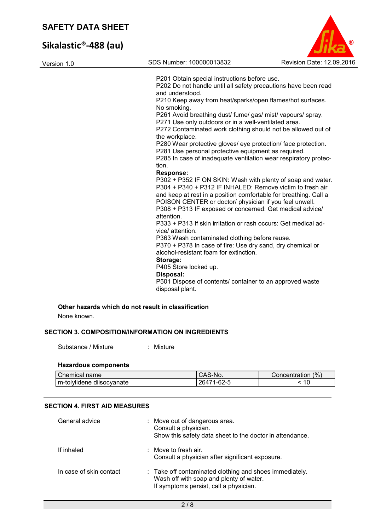# **Sikalastic®-488 (au)**

| Version 1.0 | SDS Number: 100000013832                                                                                                   | Revision Date: 12.09.2016 |
|-------------|----------------------------------------------------------------------------------------------------------------------------|---------------------------|
|             | P201 Obtain special instructions before use.                                                                               |                           |
|             | P202 Do not handle until all safety precautions have been read                                                             |                           |
|             | and understood.                                                                                                            |                           |
|             | P210 Keep away from heat/sparks/open flames/hot surfaces.<br>No smoking.                                                   |                           |
|             | P261 Avoid breathing dust/ fume/ gas/ mist/ vapours/ spray.                                                                |                           |
|             | P271 Use only outdoors or in a well-ventilated area.                                                                       |                           |
|             | P272 Contaminated work clothing should not be allowed out of<br>the workplace.                                             |                           |
|             | P280 Wear protective gloves/ eye protection/ face protection.                                                              |                           |
|             | P281 Use personal protective equipment as required.                                                                        |                           |
|             | P285 In case of inadequate ventilation wear respiratory protec-                                                            |                           |
|             | tion.                                                                                                                      |                           |
|             | <b>Response:</b>                                                                                                           |                           |
|             | P302 + P352 IF ON SKIN: Wash with plenty of soap and water.                                                                |                           |
|             | P304 + P340 + P312 IF INHALED: Remove victim to fresh air                                                                  |                           |
|             | and keep at rest in a position comfortable for breathing. Call a<br>POISON CENTER or doctor/ physician if you feel unwell. |                           |
|             | P308 + P313 IF exposed or concerned: Get medical advice/                                                                   |                           |
|             | attention.                                                                                                                 |                           |
|             | P333 + P313 If skin irritation or rash occurs: Get medical ad-                                                             |                           |
|             | vice/ attention.                                                                                                           |                           |
|             | P363 Wash contaminated clothing before reuse.                                                                              |                           |
|             | P370 + P378 In case of fire: Use dry sand, dry chemical or                                                                 |                           |
|             | alcohol-resistant foam for extinction.                                                                                     |                           |
|             | Storage:                                                                                                                   |                           |
|             | P405 Store locked up.                                                                                                      |                           |
|             | Disposal:                                                                                                                  |                           |
|             | P501 Dispose of contents/ container to an approved waste                                                                   |                           |
|             | disposal plant.                                                                                                            |                           |

 $\circ$ 

None known.

#### **SECTION 3. COMPOSITION/INFORMATION ON INGREDIENTS**

Substance / Mixture : Mixture

#### **Hazardous components**

| Chemical name             | $\Lambda$ C<br>S-No.<br>. UAC | $\frac{10}{6}$<br>Concentration |
|---------------------------|-------------------------------|---------------------------------|
| m-tolylidene diisocyanate | $-62-5$<br>26471              | $\Delta$ $\cap$<br>ιu           |

### **SECTION 4. FIRST AID MEASURES**

| General advice          | ÷. | Move out of dangerous area.<br>Consult a physician.<br>Show this safety data sheet to the doctor in attendance.                              |
|-------------------------|----|----------------------------------------------------------------------------------------------------------------------------------------------|
| If inhaled              |    | : Move to fresh air.<br>Consult a physician after significant exposure.                                                                      |
| In case of skin contact |    | : Take off contaminated clothing and shoes immediately.<br>Wash off with soap and plenty of water.<br>If symptoms persist, call a physician. |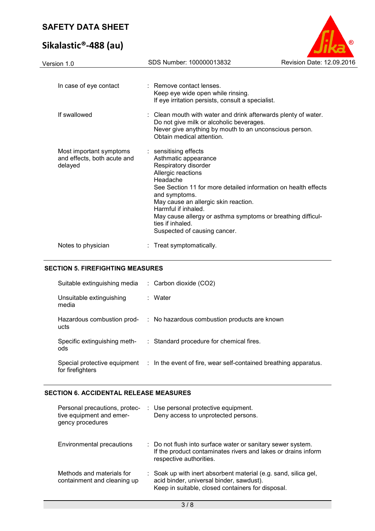# **Sikalastic®-488 (au)**



| Version 1.0                                                       | SDS Number: 100000013832                                                                                                                                                                                                                                                                                                                                                     | Revision Date: 12.09.2016 |
|-------------------------------------------------------------------|------------------------------------------------------------------------------------------------------------------------------------------------------------------------------------------------------------------------------------------------------------------------------------------------------------------------------------------------------------------------------|---------------------------|
| In case of eye contact                                            | : Remove contact lenses.<br>Keep eye wide open while rinsing.<br>If eye irritation persists, consult a specialist.                                                                                                                                                                                                                                                           |                           |
| If swallowed                                                      | : Clean mouth with water and drink afterwards plenty of water.<br>Do not give milk or alcoholic beverages.<br>Never give anything by mouth to an unconscious person.<br>Obtain medical attention.                                                                                                                                                                            |                           |
| Most important symptoms<br>and effects, both acute and<br>delayed | : sensitising effects<br>Asthmatic appearance<br>Respiratory disorder<br>Allergic reactions<br>Headache<br>See Section 11 for more detailed information on health effects<br>and symptoms.<br>May cause an allergic skin reaction.<br>Harmful if inhaled.<br>May cause allergy or asthma symptoms or breathing difficul-<br>ties if inhaled.<br>Suspected of causing cancer. |                           |
| Notes to physician                                                | : Treat symptomatically.                                                                                                                                                                                                                                                                                                                                                     |                           |

#### **SECTION 5. FIREFIGHTING MEASURES**

| Suitable extinguishing media        | $\therefore$ Carbon dioxide (CO2)                                                             |
|-------------------------------------|-----------------------------------------------------------------------------------------------|
| Unsuitable extinguishing<br>media   | : Water                                                                                       |
| ucts                                | Hazardous combustion prod- : No hazardous combustion products are known                       |
| Specific extinguishing meth-<br>ods | : Standard procedure for chemical fires.                                                      |
| for firefighters                    | Special protective equipment : In the event of fire, wear self-contained breathing apparatus. |

## **SECTION 6. ACCIDENTAL RELEASE MEASURES**

| Personal precautions, protec-<br>tive equipment and emer-<br>gency procedures | : Use personal protective equipment.<br>Deny access to unprotected persons.                                                                                      |
|-------------------------------------------------------------------------------|------------------------------------------------------------------------------------------------------------------------------------------------------------------|
| Environmental precautions                                                     | : Do not flush into surface water or sanitary sewer system.<br>If the product contaminates rivers and lakes or drains inform<br>respective authorities.          |
| Methods and materials for<br>containment and cleaning up                      | : Soak up with inert absorbent material (e.g. sand, silica gel,<br>acid binder, universal binder, sawdust).<br>Keep in suitable, closed containers for disposal. |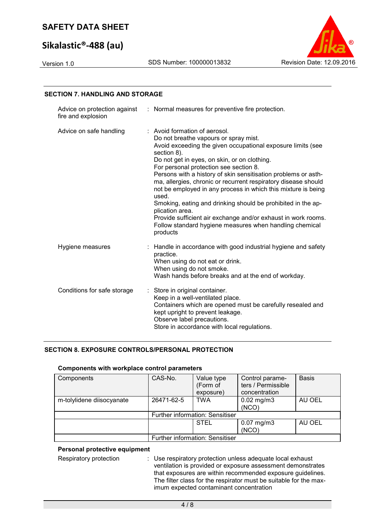# **Sikalastic®-488 (au)**



# **SECTION 7. HANDLING AND STORAGE**

| fire and explosion          | Advice on protection against : Normal measures for preventive fire protection.                                                                                                                                                                                                                                                                                                                                                                                                                                                                                                                                                                                                          |
|-----------------------------|-----------------------------------------------------------------------------------------------------------------------------------------------------------------------------------------------------------------------------------------------------------------------------------------------------------------------------------------------------------------------------------------------------------------------------------------------------------------------------------------------------------------------------------------------------------------------------------------------------------------------------------------------------------------------------------------|
| Advice on safe handling     | : Avoid formation of aerosol.<br>Do not breathe vapours or spray mist.<br>Avoid exceeding the given occupational exposure limits (see<br>section 8).<br>Do not get in eyes, on skin, or on clothing.<br>For personal protection see section 8.<br>Persons with a history of skin sensitisation problems or asth-<br>ma, allergies, chronic or recurrent respiratory disease should<br>not be employed in any process in which this mixture is being<br>used.<br>Smoking, eating and drinking should be prohibited in the ap-<br>plication area.<br>Provide sufficient air exchange and/or exhaust in work rooms.<br>Follow standard hygiene measures when handling chemical<br>products |
| Hygiene measures            | : Handle in accordance with good industrial hygiene and safety<br>practice.<br>When using do not eat or drink.<br>When using do not smoke.<br>Wash hands before breaks and at the end of workday.                                                                                                                                                                                                                                                                                                                                                                                                                                                                                       |
| Conditions for safe storage | Store in original container.<br>Keep in a well-ventilated place.<br>Containers which are opened must be carefully resealed and<br>kept upright to prevent leakage.<br>Observe label precautions.<br>Store in accordance with local regulations.                                                                                                                                                                                                                                                                                                                                                                                                                                         |

## **SECTION 8. EXPOSURE CONTROLS/PERSONAL PROTECTION**

#### **Components with workplace control parameters**

| Components                | CAS-No.    | Value type<br>(Form of<br>exposure) | Control parame-<br>ters / Permissible<br>concentration | <b>Basis</b> |
|---------------------------|------------|-------------------------------------|--------------------------------------------------------|--------------|
| m-tolylidene diisocyanate | 26471-62-5 | <b>TWA</b>                          | $0.02$ mg/m3<br>(NCO)                                  | AU OEL       |
|                           |            | Further information: Sensitiser     |                                                        |              |
|                           |            | <b>STEL</b>                         | $0.07$ mg/m $3$<br>(NCO)                               | AU OEL       |
|                           |            | Further information: Sensitiser     |                                                        |              |

#### **Personal protective equipment**

Respiratory protection : Use respiratory protection unless adequate local exhaust ventilation is provided or exposure assessment demonstrates that exposures are within recommended exposure guidelines. The filter class for the respirator must be suitable for the maximum expected contaminant concentration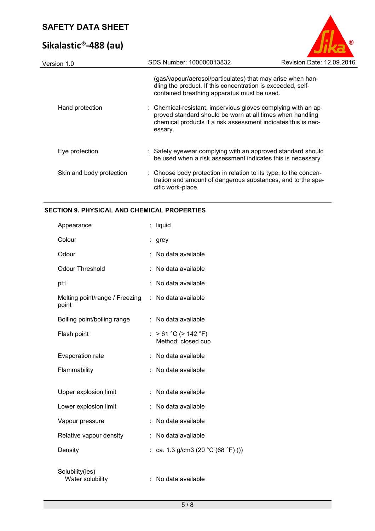# **Sikalastic®-488 (au)**



| Version 1.0              | SDS Number: 100000013832                                                                                                                                                                               | Revision Date: 12.09.2016 |
|--------------------------|--------------------------------------------------------------------------------------------------------------------------------------------------------------------------------------------------------|---------------------------|
|                          | (gas/vapour/aerosol/particulates) that may arise when han-<br>dling the product. If this concentration is exceeded, self-<br>contained breathing apparatus must be used.                               |                           |
| Hand protection          | : Chemical-resistant, impervious gloves complying with an ap-<br>proved standard should be worn at all times when handling<br>chemical products if a risk assessment indicates this is nec-<br>essary. |                           |
| Eye protection           | : Safety eyewear complying with an approved standard should<br>be used when a risk assessment indicates this is necessary.                                                                             |                           |
| Skin and body protection | : Choose body protection in relation to its type, to the concen-<br>tration and amount of dangerous substances, and to the spe-<br>cific work-place.                                                   |                           |
|                          |                                                                                                                                                                                                        |                           |

## **SECTION 9. PHYSICAL AND CHEMICAL PROPERTIES**

| Appearance                              |    | liquid                                         |
|-----------------------------------------|----|------------------------------------------------|
| Colour                                  | t. | grey                                           |
| Odour                                   | t  | No data available                              |
| <b>Odour Threshold</b>                  | t  | No data available                              |
| pH                                      |    | No data available                              |
| Melting point/range / Freezing<br>point |    | : No data available                            |
| Boiling point/boiling range             | ÷  | No data available                              |
| Flash point                             | ÷. | $> 61 °C$ ( $> 142 °F$ )<br>Method: closed cup |
| Evaporation rate                        |    | No data available                              |
| Flammability                            | ÷  | No data available                              |
| Upper explosion limit                   |    | No data available                              |
| Lower explosion limit                   |    | No data available                              |
| Vapour pressure                         |    | No data available                              |
| Relative vapour density                 | ÷. | No data available                              |
| Density                                 |    | : ca. 1.3 g/cm3 (20 °C (68 °F) ())             |
| Solubility(ies)<br>Water solubility     |    | No data available                              |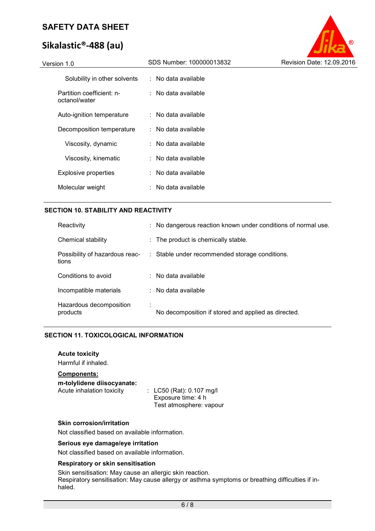# **Sikalastic®-488 (au)**



#### **SECTION 10. STABILITY AND REACTIVITY**

| Reactivity                              | : No dangerous reaction known under conditions of normal use. |
|-----------------------------------------|---------------------------------------------------------------|
| Chemical stability                      | : The product is chemically stable.                           |
| Possibility of hazardous reac-<br>tions | : Stable under recommended storage conditions.                |
| Conditions to avoid                     | $\therefore$ No data available.                               |
| Incompatible materials                  | $\therefore$ No data available                                |
| Hazardous decomposition<br>products     | No decomposition if stored and applied as directed.           |

## **SECTION 11. TOXICOLOGICAL INFORMATION**

**Acute toxicity** 

Harmful if inhaled.

## **Components:**

**m-tolylidene diisocyanate:** 

 $\therefore$  LC50 (Rat): 0.107 mg/l Exposure time: 4 h Test atmosphere: vapour

#### **Skin corrosion/irritation**

Not classified based on available information.

#### **Serious eye damage/eye irritation**

Not classified based on available information.

#### **Respiratory or skin sensitisation**

Skin sensitisation: May cause an allergic skin reaction.

Respiratory sensitisation: May cause allergy or asthma symptoms or breathing difficulties if inhaled.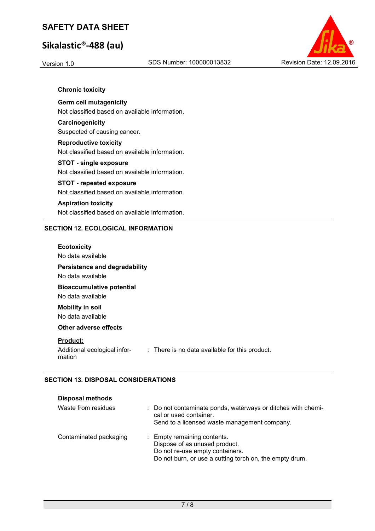# **Sikalastic®-488 (au)**



#### **Chronic toxicity**

#### **Germ cell mutagenicity**

Not classified based on available information.

## **Carcinogenicity**  Suspected of causing cancer.

### **Reproductive toxicity**  Not classified based on available information.

#### **STOT - single exposure**  Not classified based on available information.

#### **STOT - repeated exposure**  Not classified based on available information.

## **Aspiration toxicity**  Not classified based on available information.

### **SECTION 12. ECOLOGICAL INFORMATION**

# **Ecotoxicity**  No data available **Persistence and degradability**  No data available **Bioaccumulative potential**  No data available **Mobility in soil**  No data available **Other adverse effects Product:**

#### Additional ecological information : There is no data available for this product.

### **SECTION 13. DISPOSAL CONSIDERATIONS**

| <b>Disposal methods</b> |                                                                                                                                                            |
|-------------------------|------------------------------------------------------------------------------------------------------------------------------------------------------------|
| Waste from residues     | : Do not contaminate ponds, waterways or ditches with chemi-<br>cal or used container.<br>Send to a licensed waste management company.                     |
| Contaminated packaging  | : Empty remaining contents.<br>Dispose of as unused product.<br>Do not re-use empty containers.<br>Do not burn, or use a cutting torch on, the empty drum. |